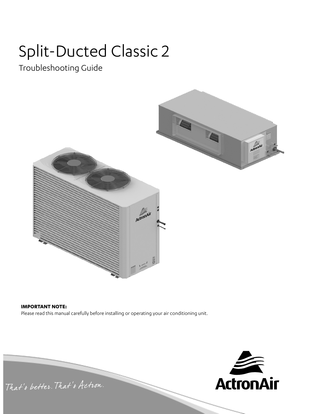# Split-Ducted Classic 2

Troubleshooting Guide



#### **IMPORTANT NOTE:**

Please read this manual carefully before installing or operating your air conditioning unit.

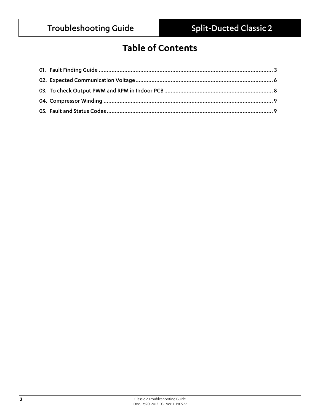### **Table of Contents**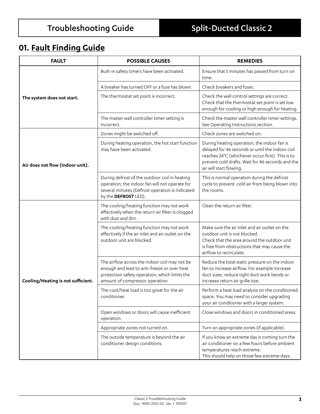### **01. Fault Finding Guide**

| <b>FAULT</b>                       | <b>POSSIBLE CAUSES</b>                                                                                                                                                           | <b>REMEDIES</b>                                                                                                                                                                                                                   |  |  |
|------------------------------------|----------------------------------------------------------------------------------------------------------------------------------------------------------------------------------|-----------------------------------------------------------------------------------------------------------------------------------------------------------------------------------------------------------------------------------|--|--|
|                                    | Built-in safety timers have been activated.                                                                                                                                      | Ensure that 5 minutes has passed from turn on<br>time.                                                                                                                                                                            |  |  |
|                                    | A breaker has turned OFF or a fuse has blown.                                                                                                                                    | Check breakers and fuses.                                                                                                                                                                                                         |  |  |
| The system does not start.         | The thermostat set point is incorrect.                                                                                                                                           | Check the wall control settings are correct.<br>Check that the thermostat set point is set low<br>enough for cooling or high enough for heating.                                                                                  |  |  |
|                                    | The master wall controller timer setting is<br>incorrect.                                                                                                                        | Check the master wall controller timer settings.<br>See Operating Instructions section.                                                                                                                                           |  |  |
|                                    | Zones might be switched off.                                                                                                                                                     | Check zones are switched on.                                                                                                                                                                                                      |  |  |
| Air does not flow (Indoor unit).   | During heating operation, the hot start function<br>may have been activated.                                                                                                     | During heating operation, the indoor fan is<br>delayed for 46 seconds or until the indoor coil<br>reaches 24°C (whichever occur first). This is to<br>prevent cold drafts. Wait for 46 seconds and the<br>air will start flowing. |  |  |
|                                    | During defrost of the outdoor coil in heating<br>operation; the indoor fan will not operate for<br>several minutes (Defrost operation is indicated<br>by the DEFROST LED).       | This is normal operation during the defrost<br>cycle to prevent cold air from being blown into<br>the rooms.                                                                                                                      |  |  |
|                                    | The cooling/heating function may not work<br>effectively when the return air filter is clogged<br>with dust and dirt.                                                            | Clean the return air filter.                                                                                                                                                                                                      |  |  |
|                                    | The cooling/heating function may not work<br>effectively if the air inlet and air outlet on the<br>outdoor unit are blocked.                                                     | Make sure the air inlet and air outlet on the<br>outdoor unit is not blocked.<br>Check that the area around the outdoor unit<br>is free from obstructions that may cause the<br>airflow to recirculate.                           |  |  |
| Cooling/Heating is not sufficient. | The airflow across the indoor coil may not be<br>enough and lead to anti-freeze or over heat<br>protection safety operation, which limits the<br>amount of compressor operation. | Reduce the total static pressure on the indoor<br>fan to increase airflow. For example increase<br>duct sizes, reduce tight duct work bends or<br>increase return air grille size.                                                |  |  |
|                                    | The cool/heat load is too great for the air<br>conditioner.                                                                                                                      | Perform a heat load analysis on the conditioned<br>space. You may need to consider upgrading<br>your air conditioner with a larger system.                                                                                        |  |  |
|                                    | Open windows or doors will cause inefficient<br>operation.                                                                                                                       | Close windows and doors in conditioned areas.                                                                                                                                                                                     |  |  |
|                                    | Appropriate zones not turned on.                                                                                                                                                 | Turn on appropriate zones (if applicable).                                                                                                                                                                                        |  |  |
|                                    | The outside temperature is beyond the air<br>conditioner design conditions.                                                                                                      | If you know an extreme day is coming turn the<br>air conditioner on a few hours before ambient<br>temperatures reach extreme.<br>This should help on those few extreme days.                                                      |  |  |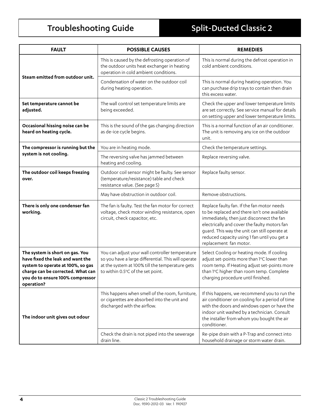| <b>FAULT</b>                                                                                                                                                                                    | <b>POSSIBLE CAUSES</b>                                                                                                                                                                         | <b>REMEDIES</b>                                                                                                                                                                                                                                                                                                    |  |  |
|-------------------------------------------------------------------------------------------------------------------------------------------------------------------------------------------------|------------------------------------------------------------------------------------------------------------------------------------------------------------------------------------------------|--------------------------------------------------------------------------------------------------------------------------------------------------------------------------------------------------------------------------------------------------------------------------------------------------------------------|--|--|
|                                                                                                                                                                                                 | This is caused by the defrosting operation of<br>the outdoor units heat exchanger in heating<br>operation in cold ambient conditions.                                                          | This is normal during the defrost operation in<br>cold ambient conditions.                                                                                                                                                                                                                                         |  |  |
| Steam emitted from outdoor unit.                                                                                                                                                                | Condensation of water on the outdoor coil<br>during heating operation.                                                                                                                         | This is normal during heating operation. You<br>can purchase drip trays to contain then drain<br>this excess water.                                                                                                                                                                                                |  |  |
| Set temperature cannot be<br>adjusted.                                                                                                                                                          | The wall control set temperature limits are<br>being exceeded.                                                                                                                                 | Check the upper and lower temperature limits<br>are set correctly. See service manual for details<br>on setting upper and lower temperature limits.                                                                                                                                                                |  |  |
| Occasional hissing noise can be<br>heard on heating cycle.                                                                                                                                      | This is the sound of the gas changing direction<br>as de-ice cycle begins.                                                                                                                     | This is a normal function of an air conditioner.<br>The unit is removing any ice on the outdoor<br>unit.                                                                                                                                                                                                           |  |  |
| The compressor is running but the                                                                                                                                                               | You are in heating mode.                                                                                                                                                                       | Check the temperature settings.                                                                                                                                                                                                                                                                                    |  |  |
| system is not cooling.                                                                                                                                                                          | The reversing valve has jammed between<br>heating and cooling.                                                                                                                                 | Replace reversing valve.                                                                                                                                                                                                                                                                                           |  |  |
| The outdoor coil keeps freezing<br>over.                                                                                                                                                        | Outdoor coil sensor might be faulty. See sensor<br>(temperature/resistance) table and check<br>resistance value. (See page 5)                                                                  | Replace faulty sensor.                                                                                                                                                                                                                                                                                             |  |  |
|                                                                                                                                                                                                 | May have obstruction in outdoor coil.                                                                                                                                                          | Remove obstructions.                                                                                                                                                                                                                                                                                               |  |  |
| There is only one condenser fan<br>working.                                                                                                                                                     | The fan is faulty. Test the fan motor for correct<br>voltage, check motor winding resistance, open<br>circuit, check capacitor, etc.                                                           | Replace faulty fan. If the fan motor needs<br>to be replaced and there isn't one available<br>immediately, then just disconnect the fan<br>electrically and cover the faulty motors fan<br>guard. This way the unit can still operate at<br>reduced capacity using 1 fan until you get a<br>replacement fan motor. |  |  |
| The system is short on gas. You<br>have fixed the leak and want the<br>system to operate at 100%, so gas<br>charge can be corrected. What can<br>vou do to ensure 100% compressor<br>operation? | You can adjust your wall controller temperature<br>so you have a large differential. This will operate<br>at the system at 100% till the temperature gets<br>to within 0.5°C of the set point. | Select Cooling or heating mode. If cooling<br>adjust set-points more than 1°C lower than<br>room temp. If Heating adjust set-points more<br>than 1°C higher than room temp. Complete<br>charging procedure until finished.                                                                                         |  |  |
| The indoor unit gives out odour                                                                                                                                                                 | This happens when smell of the room, furniture,<br>or cigarettes are absorbed into the unit and<br>discharged with the airflow.                                                                | If this happens, we recommend you to run the<br>air conditioner on cooling for a period of time<br>with the doors and windows open or have the<br>indoor unit washed by a technician. Consult<br>the installer from whom you bought the air<br>conditioner.                                                        |  |  |
|                                                                                                                                                                                                 | Check the drain is not piped into the sewerage<br>drain line.                                                                                                                                  | Re-pipe drain with a P-Trap and connect into<br>household drainage or storm water drain.                                                                                                                                                                                                                           |  |  |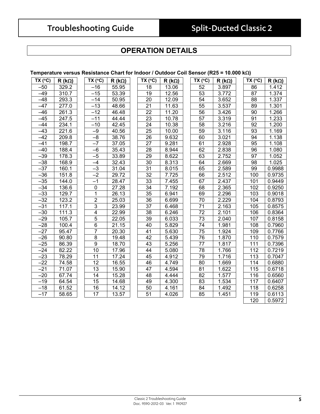### **OPERATION DETAILS**

#### **Temperature versus Resistance Chart for Indoor / Outdoor Coil Sensor (R25 = 10.000 k**Ω**)**

| TX (°C)          | $R(k\Omega)$ | TX (°C)         | $R$ (kΩ) | TX (°C)         | $R(k\Omega)$ | TX (°C)         | $R$ (kΩ) | TX (°C)          | $R(k\Omega)$ |
|------------------|--------------|-----------------|----------|-----------------|--------------|-----------------|----------|------------------|--------------|
| $-50$            | 329.2        | $-16$           | 55.95    | 18              | 13.06        | 52              | 3.897    | 86               | 1.412        |
| $-49$            | 310.7        | $-15$           | 53.39    | 19              | 12.56        | 53              | 3.772    | 87               | 1.374        |
| $-48$            | 293.3        | $-14$           | 50.95    | 20              | 12.09        | 54              | 3.652    | 88               | 1.337        |
| $-47$            | 277.0        | $-13$           | 48.66    | 21              | 11.63        | 55              | 3.537    | 89               | 1.301        |
| $-46$            | 261.3        | $-12$           | 46.48    | 22              | 11.20        | 56              | 3.426    | 90               | 1.266        |
| $-45$            | 247.5        | $-11$           | 44.44    | 23              | 10.78        | $\overline{57}$ | 3.319    | 91               | 1.233        |
| $-44$            | 234.1        | $-10$           | 42.45    | 24              | 10.38        | 58              | 3.216    | $\overline{92}$  | 1.200        |
| $-43$            | 221.6        | $-9$            | 40.56    | 25              | 10.00        | 59              | 3.116    | 93               | 1.169        |
| $-42$            | 209.8        | $\overline{-8}$ | 38.76    | 26              | 9.632        | 60              | 3.021    | 94               | 1.138        |
| $-41$            | 198.7        | $-7$            | 37.05    | 27              | 9.281        | 61              | 2.928    | 95               | 1.108        |
| $-40$            | 188.4        | $-6$            | 35.43    | 28              | 8.944        | 62              | 2.838    | 96               | 1.080        |
| $-39$            | 178.3        | $-5$            | 33.89    | 29              | 8.622        | 63              | 2.752    | 97               | 1.052        |
| $-38$            | 168.9        | $-4$            | 32.43    | 30              | 8.313        | 64              | 2.669    | 98               | 1.025        |
| $-37$            | 160.1        | $-3$            | 31.04    | 31              | 8.015        | 65              | 2.589    | 99               | 0.9988       |
| $-36$            | 151.8        | $-2$            | 29.72    | 32              | 7.725        | 66              | 2.512    | 100              | 0.9735       |
| $-35$            | 144.0        | $-1$            | 28.47    | 33              | 7.455        | 67              | 2.437    | 101              | 0.9449       |
| $-34$            | 136.6        | $\overline{0}$  | 27.28    | $\overline{34}$ | 7.192        | 68              | 2.365    | 102              | 0.9250       |
| $\overline{-33}$ | 129.7        | $\mathbf{1}$    | 26.13    | 35              | 6.941        | 69              | 2.296    | 103              | 0.9018       |
| $-32$            | 123.2        | $\overline{2}$  | 25.03    | 36              | 6.699        | 70              | 2.229    | 104              | 0.8793       |
| $-31$            | 117.1        | $\overline{3}$  | 23.99    | 37              | 6.468        | $\overline{71}$ | 2.163    | 105              | 0.8575       |
| $-30$            | 111.3        | $\overline{4}$  | 22.99    | 38              | 6.246        | $\overline{72}$ | 2.101    | 106              | 0.8364       |
| $-29$            | 105.7        | $\overline{5}$  | 22.05    | 39              | 6.033        | 73              | 2.040    | 107              | 0.8158       |
| $-28$            | 100.4        | $\overline{6}$  | 21.15    | 40              | 5.829        | $\overline{74}$ | 1.981    | 108              | 0.7960       |
| $-27$            | 95.47        | $\overline{7}$  | 20.30    | $\overline{41}$ | 5.630        | $\overline{75}$ | 1.924    | 109              | 0.7766       |
| $-26$            | 90.80        | $\overline{8}$  | 19.48    | 42              | 5.439        | $\overline{76}$ | 1.870    | 110              | 0.7579       |
| $-25$            | 86.39        | $\overline{9}$  | 18.70    | 43              | 5.256        | 77              | 1.817    | 111              | 0.7396       |
| $-24$            | 82.22        | $\overline{10}$ | 17.96    | 44              | 5.080        | 78              | 1.766    | $\overline{112}$ | 0.7219       |
| $-23$            | 78.29        | 11              | 17.24    | 45              | 4.912        | 79              | 1.716    | 113              | 0.7047       |
| $-22$            | 74.58        | $\overline{12}$ | 16.55    | 46              | 4.749        | 80              | 1.669    | 114              | 0.6880       |
| $-21$            | 71.07        | 13              | 15.90    | 47              | 4.594        | 81              | 1.622    | 115              | 0.6718       |
| $-20$            | 67.74        | 14              | 15.28    | 48              | 4.444        | 82              | 1.577    | 116              | 0.6560       |
| $-19$            | 64.54        | 15              | 14.68    | 49              | 4.300        | 83              | 1.534    | 117              | 0.6407       |
| $-18$            | 61.52        | 16              | 14.12    | 50              | 4.161        | 84              | 1.492    | 118              | 0.6258       |
| $-17$            | 58.65        | $\overline{17}$ | 13.57    | 51              | 4.026        | 85              | 1.451    | 119              | 0.6113       |
|                  |              |                 |          |                 |              |                 |          | 120              | 0.5972       |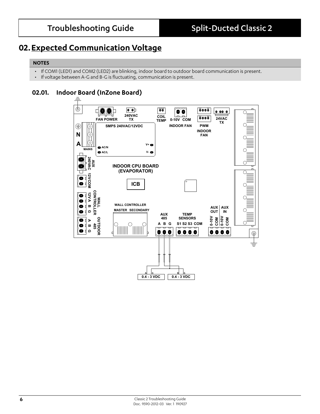### **02.Expected Communication Voltage**

#### **NOTES**

- If COM1 (LED1) and COM2 (LED2) are blinking, indoor board to outdoor board communication is present.
- If voltage between A-G and B-G is fluctuating, communication is present.

#### **02.01. Indoor Board (InZone Board)**

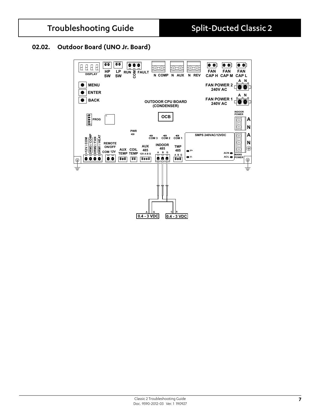#### **02.02. Outdoor Board (UNO Jr. Board)**

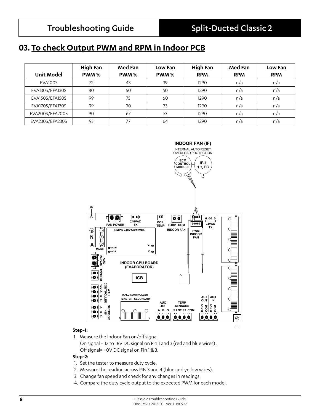### **03. To check Output PWM and RPM in Indoor PCB**

|                   | High Fan | Med Fan | Low Fan | High Fan   | Med Fan    | Low Fan    |
|-------------------|----------|---------|---------|------------|------------|------------|
| <b>Unit Model</b> | PWM%     | PWM %   | PWM %   | <b>RPM</b> | <b>RPM</b> | <b>RPM</b> |
| EVA100S           | 72       | 43      | 39      | 1290       | n/a        | n/a        |
| EVA130S/EFA130S   | 80       | 60      | 50      | 1290       | n/a        | n/a        |
| EVA150S/EFA150S   | 99       | 75      | 60      | 1290       | n/a        | n/a        |
| EVA170S/EFA170S   | 99       | 90      | 73      | 1290       | n/a        | n/a        |
| EVA200S/EFA200S   | 90       | 67      | 53      | 1290       | n/a        | n/a        |
| EVA230S/EFA230S   | 95       | 77      | 64      | 1290       | n/a        | n/a        |



#### **Step-1:**

1. Measure the Indoor Fan on/off signal.

 On signal = 12 to 18V DC signal on Pin 1 and 3 (red and blue wires) . Off signal= +0V DC signal on Pin 1 & 3.

#### **Step-2:**

- 1. Set the tester to measure duty cycle.
- 2. Measure the reading across PIN 3 and 4 (blue and yellow wires).
- 3. Change fan speed and check for any changes in readings.
- 4. Compare the duty cycle output to the expected PWM for each model.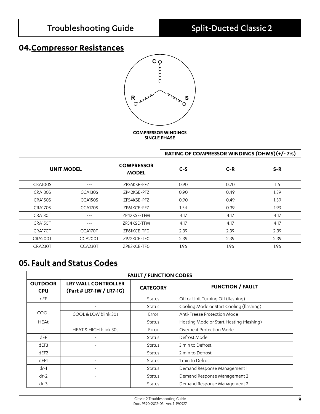### **04.Compressor Resistances**



**COMPRESSOR WINDINGS SINGLE PHASE**

|                |                      |                                   |       | RATING OF COMPRESSOR WINDINGS (OHMS)(+/-7%) |       |
|----------------|----------------------|-----------------------------------|-------|---------------------------------------------|-------|
|                | <b>UNIT MODEL</b>    | <b>COMPRESSOR</b><br><b>MODEL</b> | $C-S$ | $C-R$                                       | $S-R$ |
| CRA100S        | $- - -$              | ZP36KSE-PFZ                       | 0.90  | 0.70                                        | 1.6   |
| <b>CRA130S</b> | CCA <sub>13</sub> OS | ZP42KSE-PFZ                       | 0.90  | 0.49                                        | 1.39  |
| <b>CRA150S</b> | CCA150S              | ZP54KSE-PFZ                       | 0.90  | 0.49                                        | 1.39  |
| CRA170S        | CCA170S              | ZP61KCE-PFZ                       | 1.54  | 0.39                                        | 1.93  |
| CRA130T        | $- - -$              | ZP42KSE-TFM                       | 4.17  | 4.17                                        | 4.17  |
| CRA150T        | $- - -$              | ZP54KSE-TFM                       | 4.17  | 4.17                                        | 4.17  |
| CRA170T        | CCA170T              | ZP61KCE-TFO                       | 2.39  | 2.39                                        | 2.39  |
| CRA200T        | CCA200T              | ZP72KCE-TFO                       | 2.39  | 2.39                                        | 2.39  |
| CRA230T        | CCA230T              | ZP83KCE-TFO                       | 1.96  | 1.96                                        | 1.96  |

### **05. Fault and Status Codes**

| <b>FAULT / FUNCTION CODES</b> |                                                        |                 |                                          |  |
|-------------------------------|--------------------------------------------------------|-----------------|------------------------------------------|--|
| <b>OUTDOOR</b><br><b>CPU</b>  | <b>LR7 WALL CONTROLLER</b><br>(Part # LR7-1W / LR7-1G) | <b>CATEGORY</b> | <b>FUNCTION / FAULT</b>                  |  |
| <b>OFF</b>                    |                                                        | Status          | Off or Unit Turning Off (flashing)       |  |
|                               |                                                        | <b>Status</b>   | Cooling Mode or Start Cooling (flashing) |  |
| <b>COOL</b>                   | COOL & LOW blink 30s                                   | Error           | Anti-Freeze Protection Mode              |  |
| <b>HEAt</b>                   |                                                        | Status          | Heating Mode or Start Heating (flashing) |  |
|                               | HEAT & HIGH blink 30s                                  | Error           | Overheat Protection Mode                 |  |
| dEF                           |                                                        | Status          | Defrost Mode                             |  |
| dEF3                          |                                                        | Status          | 3 min to Defrost                         |  |
| dEF2                          |                                                        | <b>Status</b>   | 2 min to Defrost                         |  |
| dEF1                          |                                                        | Status          | 1 min to Defrost                         |  |
| $dr-1$                        |                                                        | <b>Status</b>   | Demand Response Management 1             |  |
| $dr-2$                        |                                                        | Status          | Demand Response Management 2             |  |
| $dr - 3$                      |                                                        | <b>Status</b>   | Demand Response Management 2             |  |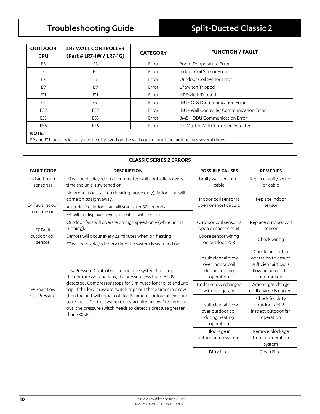| <b>OUTDOOR</b><br><b>CPU</b> | <b>LR7 WALL CONTROLLER</b><br>(Part # LR7-1W / LR7-1G) | <b>CATEGORY</b> | <b>FUNCTION / FAULT</b>                          |
|------------------------------|--------------------------------------------------------|-----------------|--------------------------------------------------|
| E <sub>3</sub>               | E <sub>3</sub>                                         | Error           | Room Temperature Error                           |
|                              | E4                                                     | Error           | Indoor Coil Sensor Error                         |
| E7                           | E7                                                     | Error           | Outdoor Coil Sensor Error                        |
| E9                           | E9                                                     | Error           | LP Switch Tripped                                |
| E11                          | E11                                                    | Error           | HP Switch Tripped                                |
| E51                          | E51                                                    | Error           | <b>IDU - ODU Communication Error</b>             |
| E52                          | E52                                                    | Error           | <b>IDU - Wall Controller Communication Error</b> |
| E55                          | E55                                                    | Error           | <b>BMS - ODU Communication Error</b>             |
| E56                          | E56                                                    | Error           | No Master Wall Controller Detected               |
| $\cdots$                     |                                                        |                 |                                                  |

#### **NOTE:**

E9 and E11 fault codes may not be displayed on the wall control until the fault occurs several times.

| <b>CLASSIC SERIES 2 ERRORS</b> |                                                                                                                                                                                                                  |                                                                          |                                                                                                       |  |  |
|--------------------------------|------------------------------------------------------------------------------------------------------------------------------------------------------------------------------------------------------------------|--------------------------------------------------------------------------|-------------------------------------------------------------------------------------------------------|--|--|
| <b>FAULT CODE</b>              | <b>DESCRIPTION</b>                                                                                                                                                                                               | <b>POSSIBLE CAUSES</b>                                                   | <b>REMEDIES</b>                                                                                       |  |  |
| E3 Fault room<br>sensor(s)     | E3 will be displayed on all connected wall controllers every<br>time the unit is switched on.                                                                                                                    | Faulty wall sensor or<br>cable                                           | Replace faulty sensor<br>or cable                                                                     |  |  |
|                                | No preheat on start up (heating mode only), indoor fan will<br>come on straight away.                                                                                                                            | Indoor coil sensor is                                                    | Replace indoor                                                                                        |  |  |
| E4 Fault indoor                | After de-ice, indoor fan will start after 30 seconds.                                                                                                                                                            | open or short circuit.                                                   | sensor                                                                                                |  |  |
| coil sensor                    | E4 will be displayed everytime it is switched on.                                                                                                                                                                |                                                                          |                                                                                                       |  |  |
| E7 Fault                       | Outdoor fans will operate on high speed only (while unit is<br>running).                                                                                                                                         | Outdoor coil sensor is<br>open or short circuit                          | Replace outdoor coil<br>sensor                                                                        |  |  |
| outdoor coil                   | Defrost will occur every 23 minutes when on heating.                                                                                                                                                             | Loose sensor wiring                                                      | Check wiring                                                                                          |  |  |
| sensor                         | E7 will be displayed every time the system is switched on.                                                                                                                                                       | on outdoor PCB                                                           |                                                                                                       |  |  |
|                                | Low Pressure Control will cut out the system (i.e. stop<br>the compressor and fans) if a pressure less than 165kPa is                                                                                            | Insufficient airflow<br>over indoor coil<br>during cooling<br>operation  | Check indoor fan<br>operation to ensure<br>sufficient airflow is<br>flowing across the<br>indoor coil |  |  |
| E9 Fault Low                   | detected. Compressor stops for 5 minutes for the 1st and 2nd<br>trip. If the low pressure switch trips out three times in a row,                                                                                 | Under or overcharged<br>with refrigerant                                 | Amend gas charge<br>until charge is correct                                                           |  |  |
| Gas Pressure                   | then the unit will remain off for 15 minutes before attempting<br>to re-start. For the system to restart after a Low Pressure cut<br>out, the pressure switch needs to detect a pressure greater<br>than 330kPa. | Insufficient airflow<br>over outdoor coil<br>during heating<br>operation | Check for dirty<br>outdoor coil &<br>inspect outdoor fan<br>operation                                 |  |  |
|                                |                                                                                                                                                                                                                  | Blockage in<br>refrigeration system                                      | Remove blockage<br>from refrigeration<br>system                                                       |  |  |
|                                |                                                                                                                                                                                                                  | Dirty filter                                                             | Clean Filter                                                                                          |  |  |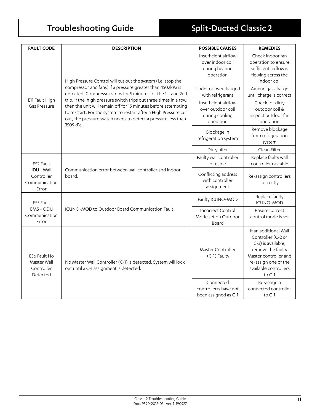| <b>FAULT CODE</b>                                     | <b>DESCRIPTION</b>                                                                                                                                                                                                                                                                   | <b>POSSIBLE CAUSES</b>                                                   | <b>REMEDIES</b>                                                                                                                                                            |
|-------------------------------------------------------|--------------------------------------------------------------------------------------------------------------------------------------------------------------------------------------------------------------------------------------------------------------------------------------|--------------------------------------------------------------------------|----------------------------------------------------------------------------------------------------------------------------------------------------------------------------|
|                                                       | High Pressure Control will cut out the system (i.e. stop the                                                                                                                                                                                                                         | Insufficient airflow<br>over indoor coil<br>during heating<br>operation  | Check indoor fan<br>operation to ensure<br>sufficient airflow is<br>flowing across the<br>indoor coil                                                                      |
|                                                       | compressor and fans) if a pressure greater than 4502kPa is<br>detected. Compressor stops for 5 minutes for the 1st and 2nd                                                                                                                                                           | Under or overcharged<br>with refrigerant                                 | Amend gas charge<br>until charge is correct                                                                                                                                |
| E11 Fault High<br><b>Gas Pressure</b>                 | trip. If the high pressure switch trips out three times in a row,<br>then the unit will remain off for 15 minutes before attempting<br>to re-start. For the system to restart after a High Pressure cut<br>out, the pressure switch needs to detect a pressure less than<br>3509kPa. | Insufficient airflow<br>over outdoor coil<br>during cooling<br>operation | Check for dirty<br>outdoor coil &<br>inspect outdoor fan<br>operation                                                                                                      |
|                                                       |                                                                                                                                                                                                                                                                                      | Blockage in<br>refrigeration system                                      | Remove blockage<br>from refrigeration<br>system                                                                                                                            |
|                                                       |                                                                                                                                                                                                                                                                                      | Dirty filter                                                             | Clean Filter                                                                                                                                                               |
| E52 Fault                                             |                                                                                                                                                                                                                                                                                      | Faulty wall controller<br>or cable                                       | Replace faulty wall<br>controller or cable                                                                                                                                 |
| IDU - Wall<br>Controller<br>Communication<br>Error    | Communication error between wall controller and indoor<br>board.                                                                                                                                                                                                                     | Conflicting address<br>with controller<br>assignment                     | Re-assign controllers<br>correctly                                                                                                                                         |
| E55 Fault                                             |                                                                                                                                                                                                                                                                                      | Faulty ICUNO-MOD                                                         | Replace faulty<br><b>ICUNO-MOD</b>                                                                                                                                         |
| <b>BMS - ODU</b><br>Communication<br>Error            | ICUNO-MOD to Outdoor Board Communication Fault.                                                                                                                                                                                                                                      | <b>Incorrect Control</b><br>Mode set on Outdoor<br>Board                 | Ensure correct<br>control mode is set                                                                                                                                      |
| E56 Fault No<br>Master Wall<br>Controller<br>Detected | No Master Wall Controller (C-1) is detected. System will lock<br>out until a C-1 assignment is detected.                                                                                                                                                                             | Master Controller<br>(C-1) Faulty                                        | If an additional Wall<br>Controller (C-2 or<br>C-3) is available,<br>remove the faulty<br>Master controller and<br>re-assign one of the<br>available controllers<br>to C-1 |
|                                                       |                                                                                                                                                                                                                                                                                      | Connected<br>controller/s have not<br>been assigned as C-1               | Re-assign a<br>connected controller<br>to C-1                                                                                                                              |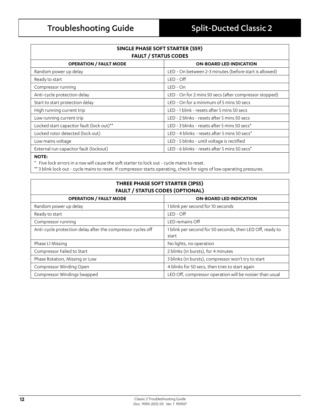| SINGLE PHASE SOFT STARTER (SS9)<br><b>FAULT / STATUS CODES</b> |                                                        |  |  |  |
|----------------------------------------------------------------|--------------------------------------------------------|--|--|--|
| <b>OPERATION / FAULT MODE</b>                                  | <b>ON-BOARD LED INDICATION</b>                         |  |  |  |
| Random power up delay                                          | LED - On between 2-3 minutes (before start is allowed) |  |  |  |
| Ready to start                                                 | LED - Off                                              |  |  |  |
| Compressor running                                             | $LED - On$                                             |  |  |  |
| Anti-cycle protection delay                                    | LED - On for 2 mins 50 secs (after compressor stopped) |  |  |  |
| Start to start protection delay                                | LED - On for a minimum of 5 mins 50 secs               |  |  |  |
| High running current trip                                      | LED - 1 blink - resets after 5 mins 50 secs            |  |  |  |
| Low running current trip                                       | LED - 2 blinks - resets after 5 mins 50 secs           |  |  |  |
| Locked start capacitor fault (lock out)**                      | LED - 3 blinks - resets after 5 mins 50 secs*          |  |  |  |
| Locked rotor detected (lock out)                               | LED - 4 blinks - resets after 5 mins 50 secs*          |  |  |  |
| Low mains voltage                                              | LED - 5 blinks - until voltage is rectified            |  |  |  |
| External run capacitor fault (lockout)                         | LED - 6 blinks - resets after 5 mins 50 secs*          |  |  |  |
|                                                                |                                                        |  |  |  |

#### **NOTE:**

 $\overline{1}$ 

\* Five lock errors in a row will cause the soft starter to lock out - cycle mains to reset.

\*\* 3 blink lock out - cycle mains to reset. If compressor starts operating, check for signs of low operating pressures.

| THREE PHASE SOFT STARTER (3PS5)<br><b>FAULT / STATUS CODES (OPTIONAL)</b> |                                                                    |  |  |
|---------------------------------------------------------------------------|--------------------------------------------------------------------|--|--|
| <b>OPERATION / FAULT MODE</b>                                             | <b>ON-BOARD LED INDICATION</b>                                     |  |  |
| Random power up delay                                                     | 1 blink per second for 10 seconds                                  |  |  |
| Ready to start                                                            | LED - Off                                                          |  |  |
| Compressor running                                                        | LED remains Off                                                    |  |  |
| Anti-cycle protection delay after the compressor cycles off               | I blink per second for 50 seconds, then LED Off, ready to<br>start |  |  |
| Phase L1 Missing                                                          | No lights, no operation                                            |  |  |
| Compressor Failed to Start                                                | 2 blinks (in bursts), for 4 minutes                                |  |  |
| Phase Rotation, Missing or Low                                            | 3 blinks (in bursts), compressor won't try to start                |  |  |
| Compressor Winding Open                                                   | 4 blinks for 50 secs, then tries to start again                    |  |  |
| Compressor Windings Swapped                                               | LED Off, compressor operation will be noisier than usual           |  |  |